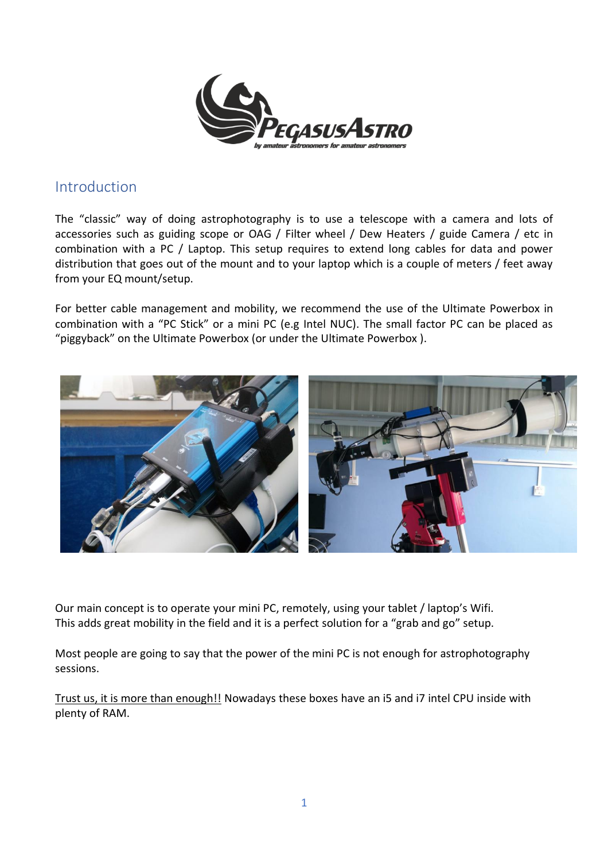

### Introduction

The "classic" way of doing astrophotography is to use a telescope with a camera and lots of accessories such as guiding scope or OAG / Filter wheel / Dew Heaters / guide Camera / etc in combination with a PC / Laptop. This setup requires to extend long cables for data and power distribution that goes out of the mount and to your laptop which is a couple of meters / feet away from your EQ mount/setup.

For better cable management and mobility, we recommend the use of the Ultimate Powerbox in combination with a "PC Stick" or a mini PC (e.g Intel NUC). The small factor PC can be placed as "piggyback" on the Ultimate Powerbox (or under the Ultimate Powerbox ).



Our main concept is to operate your mini PC, remotely, using your tablet / laptop's Wifi. This adds great mobility in the field and it is a perfect solution for a "grab and go" setup.

Most people are going to say that the power of the mini PC is not enough for astrophotography sessions.

Trust us, it is more than enough!! Nowadays these boxes have an i5 and i7 intel CPU inside with plenty of RAM.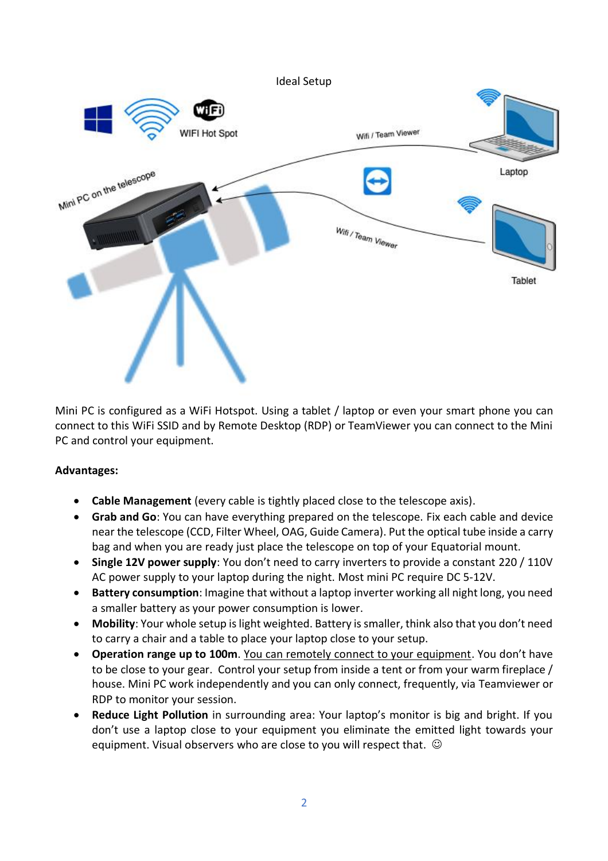

Mini PC is configured as a WiFi Hotspot. Using a tablet / laptop or even your smart phone you can connect to this WiFi SSID and by Remote Desktop (RDP) or TeamViewer you can connect to the Mini PC and control your equipment.

#### **Advantages:**

- **Cable Management** (every cable is tightly placed close to the telescope axis).
- **Grab and Go**: You can have everything prepared on the telescope. Fix each cable and device near the telescope (CCD, Filter Wheel, OAG, Guide Camera). Put the optical tube inside a carry bag and when you are ready just place the telescope on top of your Equatorial mount.
- **Single 12V power supply**: You don't need to carry inverters to provide a constant 220 / 110V AC power supply to your laptop during the night. Most mini PC require DC 5-12V.
- **Battery consumption**: Imagine that without a laptop inverter working all night long, you need a smaller battery as your power consumption is lower.
- **Mobility**: Your whole setup is light weighted. Battery is smaller, think also that you don't need to carry a chair and a table to place your laptop close to your setup.
- **Operation range up to 100m**. You can remotely connect to your equipment. You don't have to be close to your gear. Control your setup from inside a tent or from your warm fireplace / house. Mini PC work independently and you can only connect, frequently, via Teamviewer or RDP to monitor your session.
- **Reduce Light Pollution** in surrounding area: Your laptop's monitor is big and bright. If you don't use a laptop close to your equipment you eliminate the emitted light towards your equipment. Visual observers who are close to you will respect that.  $\odot$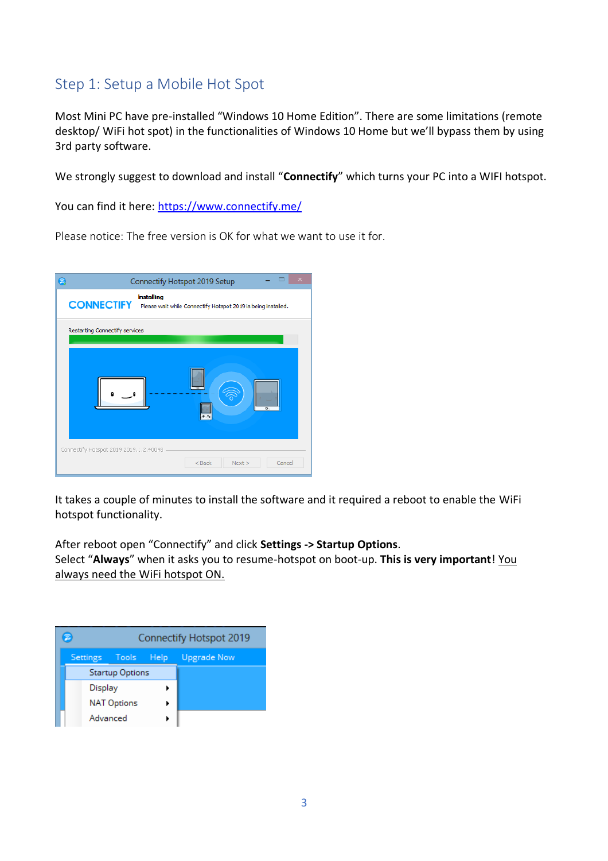## Step 1: Setup a Mobile Hot Spot

Most Mini PC have pre-installed "Windows 10 Home Edition". There are some limitations (remote desktop/ WiFi hot spot) in the functionalities of Windows 10 Home but we'll bypass them by using 3rd party software.

We strongly suggest to download and install "**Connectify**" which turns your PC into a WIFI hotspot.

You can find it here:<https://www.connectify.me/>

Please notice: The free version is OK for what we want to use it for.



It takes a couple of minutes to install the software and it required a reboot to enable the WiFi hotspot functionality.

After reboot open "Connectify" and click **Settings -> Startup Options**.

Select "**Always**" when it asks you to resume-hotspot on boot-up. **This is very important**! You always need the WiFi hotspot ON.

|                        | <b>Connectify Hotspot 2019</b> |      |                    |  |  |
|------------------------|--------------------------------|------|--------------------|--|--|
| Settings Tools         |                                | Help | <b>Upgrade Now</b> |  |  |
| <b>Startup Options</b> |                                |      |                    |  |  |
| Display                |                                |      |                    |  |  |
| <b>NAT Options</b>     |                                |      |                    |  |  |
|                        | Advanced                       |      |                    |  |  |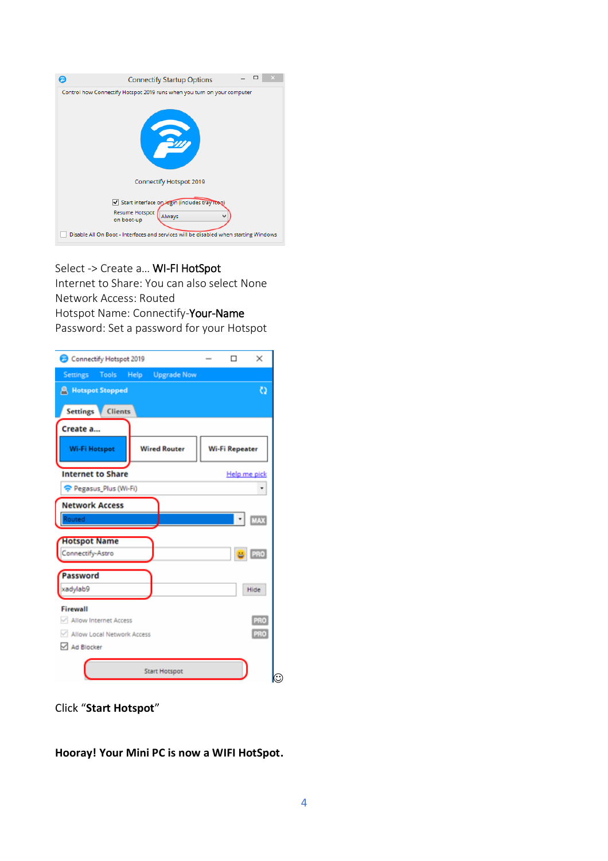| Control how Connectify Hotspot 2019 runs when you turn on your computer<br>Sun                                                                                                                  | <b>Connectify Startup Options</b> |
|-------------------------------------------------------------------------------------------------------------------------------------------------------------------------------------------------|-----------------------------------|
|                                                                                                                                                                                                 |                                   |
| Connectify Hotspot 2019                                                                                                                                                                         |                                   |
| Start interface on login (includes tray icon)<br>Resume Hotspot<br>Always<br>$\checkmark$<br>on boot-up<br>Disable All On Boot - Interfaces and services will be disabled when starting Windows |                                   |

#### Select -> Create a… WI-FI HotSpot

Internet to Share: You can also select None Network Access: Routed Hotspot Name: Connectify-Your-Name Password: Set a password for your Hotspot

| Connectify Hotspot 2019                                              | ×<br>п                |  |  |  |  |
|----------------------------------------------------------------------|-----------------------|--|--|--|--|
| <b>Upgrade Now</b><br><b>Settings</b><br><b>Tools</b><br><b>Help</b> |                       |  |  |  |  |
| <b>R</b> Hotspot Stopped                                             | o                     |  |  |  |  |
| <b>Clients</b><br><b>Settings</b>                                    |                       |  |  |  |  |
| Create a                                                             |                       |  |  |  |  |
| <b>Wired Router</b><br><b>Wi-Fi Hotspot</b>                          | <b>Wi-Fi Repeater</b> |  |  |  |  |
| <b>Internet to Share</b>                                             | Help me pick          |  |  |  |  |
| Pegasus_Plus (Wi-Fi)                                                 |                       |  |  |  |  |
| <b>Network Access</b>                                                |                       |  |  |  |  |
| Routed                                                               | <b>MAX</b>            |  |  |  |  |
| <b>Hotspot Name</b>                                                  |                       |  |  |  |  |
| Connectify-Astro                                                     | PRO<br>품              |  |  |  |  |
| Password                                                             |                       |  |  |  |  |
| xadylab9                                                             | Hide                  |  |  |  |  |
| Firewall                                                             |                       |  |  |  |  |
| Allow Internet Access                                                | PRO                   |  |  |  |  |
| PRO<br>Allow Local Network Access                                    |                       |  |  |  |  |
| Ad Blocker                                                           |                       |  |  |  |  |
| <b>Start Hotspot</b>                                                 | $\odot$               |  |  |  |  |

Click "**Start Hotspot**"

**Hooray! Your Mini PC is now a WIFI HotSpot.**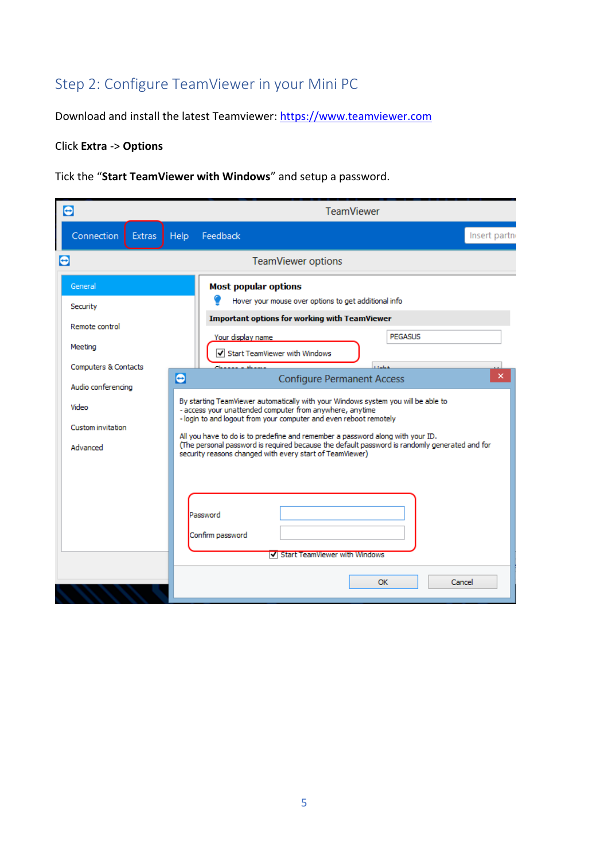# Step 2: Configure TeamViewer in your Mini PC

Download and install the latest Teamviewer: [https://www.teamviewer.com](https://www.teamviewer.com/)

## Click **Extra** -> **Options**

Tick the "**Start TeamViewer with Windows**" and setup a password.

| Θ                                                                                   | <b>TeamViewer</b>                                                                                                                                                                                                                                                                                                           |  |  |  |  |
|-------------------------------------------------------------------------------------|-----------------------------------------------------------------------------------------------------------------------------------------------------------------------------------------------------------------------------------------------------------------------------------------------------------------------------|--|--|--|--|
| Connection<br>Extras                                                                | Help<br>Feedback<br>Insert partn                                                                                                                                                                                                                                                                                            |  |  |  |  |
| е                                                                                   | <b>TeamViewer options</b>                                                                                                                                                                                                                                                                                                   |  |  |  |  |
| General<br>Security<br>Remote control<br>Meeting                                    | <b>Most popular options</b><br>Hover your mouse over options to get additional info<br><b>Important options for working with TeamViewer</b><br><b>PEGASUS</b><br>Your display name                                                                                                                                          |  |  |  |  |
| <b>Computers &amp; Contacts</b><br>Audio conferencing<br>Video<br>Custom invitation | Start TeamViewer with Windows<br><b>Call A</b><br>×<br>$\bullet$<br><b>Configure Permanent Access</b><br>By starting TeamViewer automatically with your Windows system you will be able to<br>- access your unattended computer from anywhere, anytime<br>- login to and logout from your computer and even reboot remotely |  |  |  |  |
| Advanced                                                                            | All you have to do is to predefine and remember a password along with your ID.<br>(The personal password is required because the default password is randomly generated and for<br>security reasons changed with every start of TeamViewer)                                                                                 |  |  |  |  |
|                                                                                     | Password<br>Confirm password<br><b>V</b> Start TeamViewer with Windows<br>OK<br>Cancel                                                                                                                                                                                                                                      |  |  |  |  |
|                                                                                     |                                                                                                                                                                                                                                                                                                                             |  |  |  |  |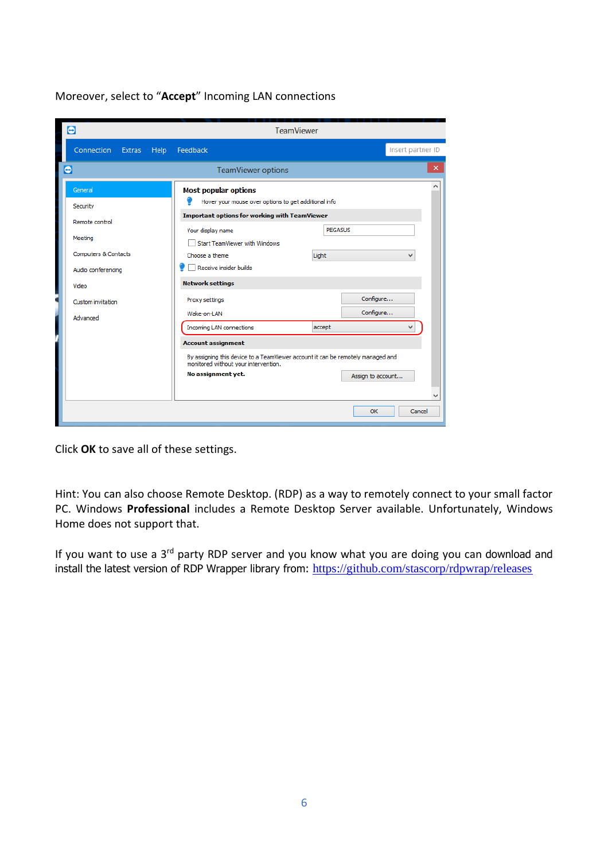| Θ                                                     | <b>TeamViewer</b>                                                                                                                                                                               |                        |  |  |
|-------------------------------------------------------|-------------------------------------------------------------------------------------------------------------------------------------------------------------------------------------------------|------------------------|--|--|
| Connection Extras Help Feedback                       | Insert partner ID                                                                                                                                                                               |                        |  |  |
| $\bullet$                                             | <b>TeamViewer options</b>                                                                                                                                                                       | ×                      |  |  |
| General<br>Security                                   | <b>Most popular options</b><br>Hover your mouse over options to get additional info                                                                                                             |                        |  |  |
| Remote control<br>Meeting                             | <b>Important options for working with TeamViewer</b><br><b>PEGASUS</b><br>Your display name                                                                                                     |                        |  |  |
| <b>Computers &amp; Contacts</b><br>Audio conferencing | Start TeamViewer with Windows<br>Choose a theme.<br>Receive insider builds                                                                                                                      | Light                  |  |  |
| Video                                                 | <b>Network settings</b>                                                                                                                                                                         |                        |  |  |
| Custom invitation                                     | Proxy settings<br>Wake-on-LAN                                                                                                                                                                   | Configure<br>Configure |  |  |
| Advanced                                              | <b>Incoming LAN connections</b>                                                                                                                                                                 | accept<br>v            |  |  |
|                                                       | <b>Account assignment</b><br>By assigning this device to a TeamViewer account it can be remotely managed and<br>monitored without your intervention.<br>No assignment yet.<br>Assign to account |                        |  |  |
|                                                       |                                                                                                                                                                                                 | OK<br>Cancel           |  |  |

Moreover, select to "**Accept**" Incoming LAN connections

Click **OK** to save all of these settings.

Hint: You can also choose Remote Desktop. (RDP) as a way to remotely connect to your small factor PC. Windows **Professional** includes a Remote Desktop Server available. Unfortunately, Windows Home does not support that.

If you want to use a 3<sup>rd</sup> party RDP server and you know what you are doing you can download and install the latest version of RDP Wrapper library from: <https://github.com/stascorp/rdpwrap/releases>